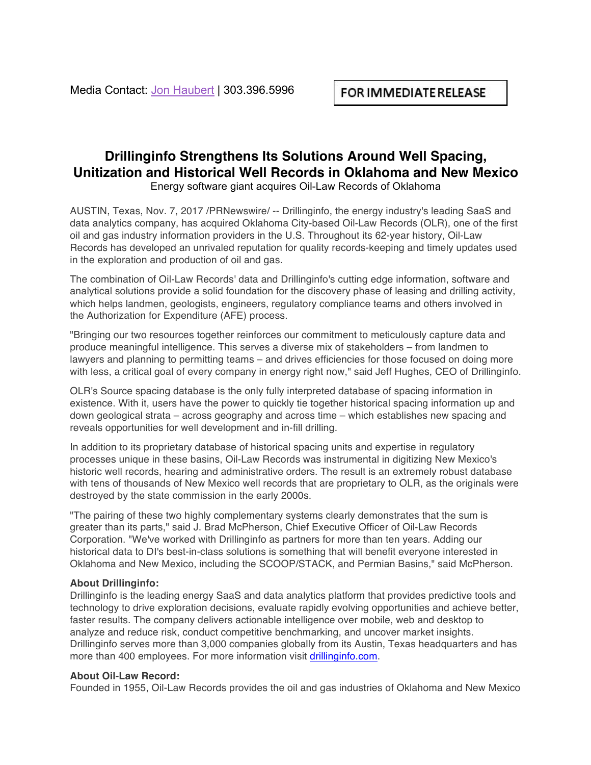## **Drillinginfo Strengthens Its Solutions Around Well Spacing, Unitization and Historical Well Records in Oklahoma and New Mexico** Energy software giant acquires Oil-Law Records of Oklahoma

AUSTIN, Texas, Nov. 7, 2017 /PRNewswire/ -- Drillinginfo, the energy industry's leading SaaS and data analytics company, has acquired Oklahoma City-based Oil-Law Records (OLR), one of the first oil and gas industry information providers in the U.S. Throughout its 62-year history, Oil-Law Records has developed an unrivaled reputation for quality records-keeping and timely updates used in the exploration and production of oil and gas.

The combination of Oil-Law Records' data and Drillinginfo's cutting edge information, software and analytical solutions provide a solid foundation for the discovery phase of leasing and drilling activity, which helps landmen, geologists, engineers, regulatory compliance teams and others involved in the Authorization for Expenditure (AFE) process.

"Bringing our two resources together reinforces our commitment to meticulously capture data and produce meaningful intelligence. This serves a diverse mix of stakeholders – from landmen to lawyers and planning to permitting teams – and drives efficiencies for those focused on doing more with less, a critical goal of every company in energy right now," said Jeff Hughes, CEO of Drillinginfo.

OLR's Source spacing database is the only fully interpreted database of spacing information in existence. With it, users have the power to quickly tie together historical spacing information up and down geological strata – across geography and across time – which establishes new spacing and reveals opportunities for well development and in-fill drilling.

In addition to its proprietary database of historical spacing units and expertise in regulatory processes unique in these basins, Oil-Law Records was instrumental in digitizing New Mexico's historic well records, hearing and administrative orders. The result is an extremely robust database with tens of thousands of New Mexico well records that are proprietary to OLR, as the originals were destroyed by the state commission in the early 2000s.

"The pairing of these two highly complementary systems clearly demonstrates that the sum is greater than its parts," said J. Brad McPherson, Chief Executive Officer of Oil-Law Records Corporation. "We've worked with Drillinginfo as partners for more than ten years. Adding our historical data to DI's best-in-class solutions is something that will benefit everyone interested in Oklahoma and New Mexico, including the SCOOP/STACK, and Permian Basins," said McPherson.

## **About Drillinginfo:**

Drillinginfo is the leading energy SaaS and data analytics platform that provides predictive tools and technology to drive exploration decisions, evaluate rapidly evolving opportunities and achieve better, faster results. The company delivers actionable intelligence over mobile, web and desktop to analyze and reduce risk, conduct competitive benchmarking, and uncover market insights. Drillinginfo serves more than 3,000 companies globally from its Austin, Texas headquarters and has more than 400 employees. For more information visit drillinginfo.com.

## **About Oil-Law Record:**

Founded in 1955, Oil-Law Records provides the oil and gas industries of Oklahoma and New Mexico